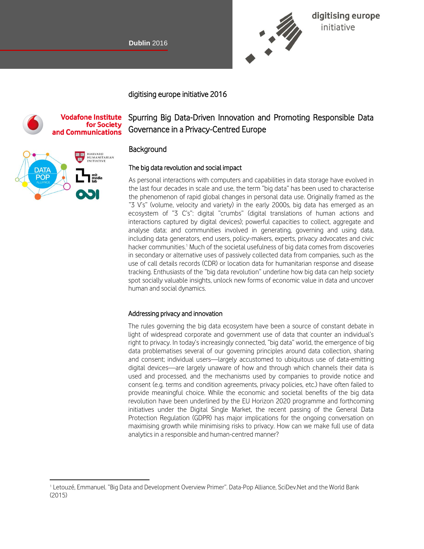

digitising europe initiative

digitising europe initiative 2016

#### **Vodafone Institute** for Society and Communications

# HARVARD<br>HUMANITARIAN<br>INITIATIVE DAT/ POP

 $\overline{a}$ 

# Spurring Big Data-Driven Innovation and Promoting Responsible Data Governance in a Privacy-Centred Europe

# **Background**

### The big data revolution and social impact

As personal interactions with computers and capabilities in data storage have evolved in the last four decades in scale and use, the term "big data" has been used to characterise the phenomenon of rapid global changes in personal data use. Originally framed as the "3 V's" (volume, velocity and variety) in the early 2000s, big data has emerged as an ecosystem of "3 C's": digital "crumbs" (digital translations of human actions and interactions captured by digital devices); powerful capacities to collect, aggregate and analyse data; and communities involved in generating, governing and using data, including data generators, end users, policy-makers, experts, privacy advocates and civic hacker communities.<sup>1</sup> Much of the societal usefulness of big data comes from discoveries in secondary or alternative uses of passively collected data from companies, such as the use of call details records (CDR) or location data for humanitarian response and disease tracking. Enthusiasts of the "big data revolution" underline how big data can help society spot socially valuable insights, unlock new forms of economic value in data and uncover human and social dynamics.

#### Addressing privacy and innovation

The rules governing the big data ecosystem have been a source of constant debate in light of widespread corporate and government use of data that counter an individual's right to privacy. In today's increasingly connected, "big data" world, the emergence of big data problematises several of our governing principles around data collection, sharing and consent; individual users—largely accustomed to ubiquitous use of data-emitting digital devices—are largely unaware of how and through which channels their data is used and processed, and the mechanisms used by companies to provide notice and consent (e.g. terms and condition agreements, privacy policies, etc.) have often failed to provide meaningful choice. While the economic and societal benefits of the big data revolution have been underlined by the EU Horizon 2020 programme and forthcoming initiatives under the Digital Single Market, the recent passing of the General Data Protection Regulation (GDPR) has major implications for the ongoing conversation on maximising growth while minimising risks to privacy. How can we make full use of data analytics in a responsible and human-centred manner?

<sup>1</sup> Letouzé, Emmanuel. "Big Data and Development Overview Primer". Data-Pop Alliance, SciDev.Net and the World Bank (2015)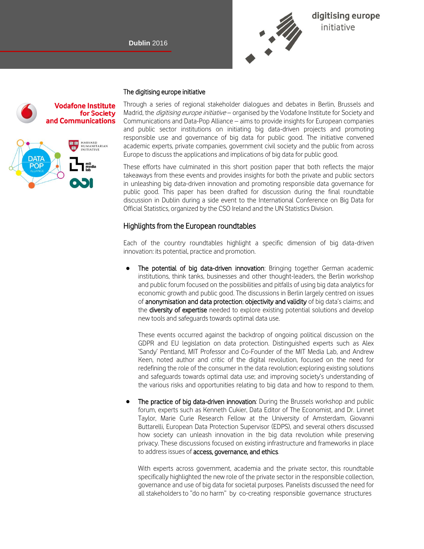I

**Vodafone Institute** 

and Communications

for Society

HARVARD<br>HUMANITARIAN<br>INITIATIVE



#### The digitising europe initiative

Through a series of regional stakeholder dialogues and debates in Berlin, Brussels and Madrid, the *digitising europe initiative* – organised by the Vodafone Institute for Society and Communications and Data-Pop Alliance – aims to provide insights for European companies and public sector institutions on initiating big data-driven projects and promoting responsible use and governance of big data for public good. The initiative convened academic experts, private companies, government civil society and the public from across Europe to discuss the applications and implications of big data for public good.

These efforts have culminated in this short position paper that both reflects the major takeaways from these events and provides insights for both the private and public sectors in unleashing big data-driven innovation and promoting responsible data governance for public good. This paper has been drafted for discussion during the final roundtable discussion in Dublin during a side event to the International Conference on Big Data for Official Statistics, organized by the CSO Ireland and the UN Statistics Division.

#### Highlights from the European roundtables

Each of the country roundtables highlight a specific dimension of big data-driven innovation: its potential, practice and promotion.

● The potential of big data-driven innovation: Bringing together German academic institutions, think tanks, businesses and other thought-leaders, the Berlin workshop and public forum focused on the possibilities and pitfalls of using big data analytics for economic growth and public good. The discussions in Berlin largely centred on issues of anonymisation and data protection; objectivity and validity of big data's claims; and the **diversity of expertise** needed to explore existing potential solutions and develop new tools and safeguards towards optimal data use.

These events occurred against the backdrop of ongoing political discussion on the GDPR and EU legislation on data protection. Distinguished experts such as Alex 'Sandy' Pentland, MIT Professor and Co-Founder of the MIT Media Lab, and Andrew Keen, noted author and critic of the digital revolution, focused on the need for redefining the role of the consumer in the data revolution; exploring existing solutions and safeguards towards optimal data use; and improving society's understanding of the various risks and opportunities relating to big data and how to respond to them.

The practice of big data-driven innovation: During the Brussels workshop and public forum, experts such as Kenneth Cukier, Data Editor of The Economist, and Dr. Linnet Taylor, Marie Curie Research Fellow at the University of Amsterdam, Giovanni Buttarelli, European Data Protection Supervisor (EDPS), and several others discussed how society can unleash innovation in the big data revolution while preserving privacy. These discussions focused on existing infrastructure and frameworks in place to address issues of **access, governance, and ethics**.

With experts across government, academia and the private sector, this roundtable specifically highlighted the new role of the private sector in the responsible collection, governance and use of big data for societal purposes. Panelists discussed the need for all stakeholders to "do no harm" by co-creating responsible governance structures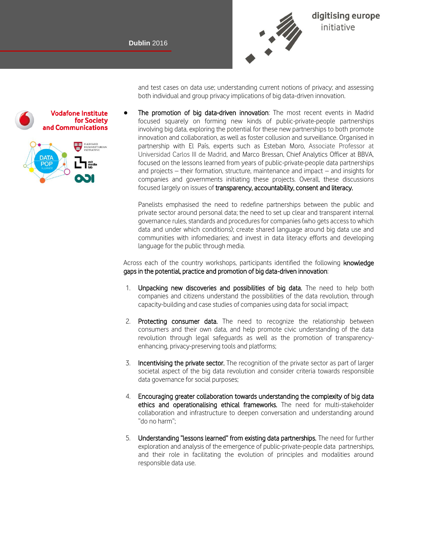

and test cases on data use; understanding current notions of privacy; and assessing both individual and group privacy implications of big data-driven innovation.

The promotion of big data-driven innovation: The most recent events in Madrid focused squarely on forming new kinds of public-private-people partnerships involving big data, exploring the potential for these new partnerships to both promote innovation and collaboration, as well as foster collusion and surveillance. Organised in partnership with El País, experts such as Esteban Moro, Associate Professor at Universidad Carlos III de Madrid, and Marco Bressan, Chief Analytics Officer at BBVA, focused on the lessons learned from years of public-private-people data partnerships and projects – their formation, structure, maintenance and impact – and insights for companies and governments initiating these projects. Overall, these discussions focused largely on issues of transparency, accountability, consent and literacy.

Panelists emphasised the need to redefine partnerships between the public and private sector around personal data; the need to set up clear and transparent internal governance rules, standards and procedures for companies (who gets access to which data and under which conditions); create shared language around big data use and communities with infomediaries; and invest in data literacy efforts and developing language for the public through media.

Across each of the country workshops, participants identified the following knowledge gaps in the potential, practice and promotion of big data-driven innovation:

- 1. Unpacking new discoveries and possibilities of big data. The need to help both companies and citizens understand the possibilities of the data revolution, through capacity-building and case studies of companies using data for social impact;
- 2. Protecting consumer data. The need to recognize the relationship between consumers and their own data, and help promote civic understanding of the data revolution through legal safeguards as well as the promotion of transparencyenhancing, privacy-preserving tools and platforms;
- 3. Incentivising the private sector. The recognition of the private sector as part of larger societal aspect of the big data revolution and consider criteria towards responsible data governance for social purposes;
- 4. Encouraging greater collaboration towards understanding the complexity of big data ethics and operationalising ethical frameworks. The need for multi-stakeholder collaboration and infrastructure to deepen conversation and understanding around "do no harm";
- 5. Understanding "lessons learned" from existing data partnerships. The need for further exploration and analysis of the emergence of public-private-people data partnerships, and their role in facilitating the evolution of principles and modalities around responsible data use.

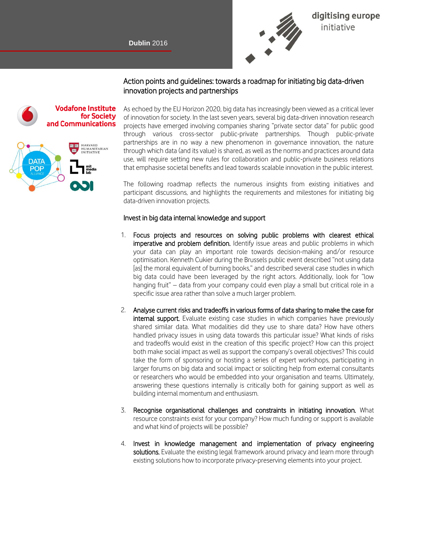I



# Action points and guidelines: towards a roadmap for initiating big data-driven innovation projects and partnerships



As echoed by the EU Horizon 2020, big data has increasingly been viewed as a critical lever of innovation for society. In the last seven years, several big data-driven innovation research projects have emerged involving companies sharing "private sector data" for public good through various cross-sector public-private partnerships. Though public-private partnerships are in no way a new phenomenon in governance innovation, the nature through which data (and its value) is shared, as well as the norms and practices around data use, will require setting new rules for collaboration and public-private business relations that emphasise societal benefits and lead towards scalable innovation in the public interest.

The following roadmap reflects the numerous insights from existing initiatives and participant discussions, and highlights the requirements and milestones for initiating big data-driven innovation projects.

#### Invest in big data internal knowledge and support

- 1. Focus projects and resources on solving public problems with clearest ethical imperative and problem definition. Identify issue areas and public problems in which your data can play an important role towards decision-making and/or resource optimisation. Kenneth Cukier during the Brussels public event described "not using data [as] the moral equivalent of burning books," and described several case studies in which big data could have been leveraged by the right actors. Additionally, look for "low hanging fruit" – data from your company could even play a small but critical role in a specific issue area rather than solve a much larger problem.
- 2. Analyse current risks and tradeoffs in various forms of data sharing to make the case for internal support. Evaluate existing case studies in which companies have previously shared similar data. What modalities did they use to share data? How have others handled privacy issues in using data towards this particular issue? What kinds of risks and tradeoffs would exist in the creation of this specific project? How can this project both make social impact as well as support the company's overall objectives? This could take the form of sponsoring or hosting a series of expert workshops, participating in larger forums on big data and social impact or soliciting help from external consultants or researchers who would be embedded into your organisation and teams. Ultimately, answering these questions internally is critically both for gaining support as well as building internal momentum and enthusiasm.
- 3. Recognise organisational challenges and constraints in initiating innovation. What resource constraints exist for your company? How much funding or support is available and what kind of projects will be possible?
- 4. Invest in knowledge management and implementation of privacy engineering solutions. Evaluate the existing legal framework around privacy and learn more through existing solutions how to incorporate privacy-preserving elements into your project.